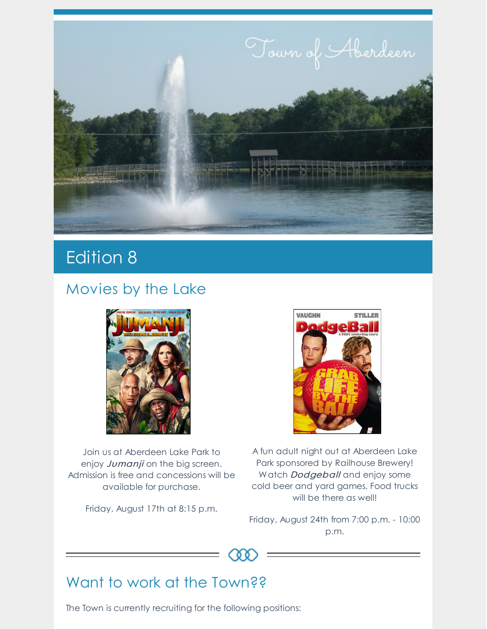

# Edition 8

### Movies by the Lake



Join us at Aberdeen Lake Park to enjoy Jumanji on the big screen. Admission is free and concessions will be available for purchase.

Friday, August 17th at 8:15 p.m.



A fun adult night out at Aberdeen Lake Park sponsored by Railhouse Brewery! Watch **Dodgeball** and enjoy some cold beer and yard games. Food trucks will be there as well!

Friday, August 24th from 7:00 p.m. - 10:00 p.m.



## Want to work at the Town??

The Town is currently recruiting for the following positions: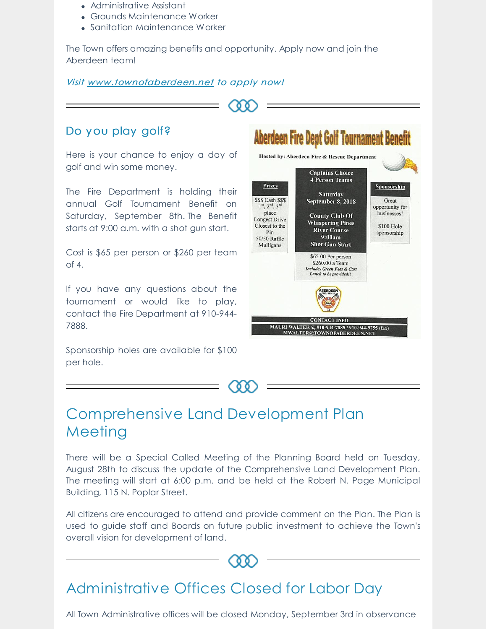- Administrative Assistant
- Grounds Maintenance Worker
- Sanitation Maintenance Worker

The Town offers amazing benefits and opportunity. Apply now and join the Aberdeen team!

#### Visit [www.townofaberdeen.net](https://aberdeen.municipalcms.com/employment.aspx?id=2099&catid=29) to apply now!

### Do you play golf?

Here is your chance to enjoy a day of golf and win some money.

The Fire Department is holding their annual Golf Tournament Benefit on Saturday, September 8th. The Benefit starts at 9:00 a.m. with a shot gun start.

Cost is \$65 per person or \$260 per team of 4.

If you have any questions about the tournament or would like to play, contact the Fire Department at 910-944- 7888.

Sponsorship holes are available for \$100 per hole.





### Comprehensive Land Development Plan Meeting

There will be a Special Called Meeting of the Planning Board held on Tuesday, August 28th to discuss the update of the Comprehensive Land Development Plan. The meeting will start at 6:00 p.m. and be held at the Robert N. Page Municipal Building, 115 N. Poplar Street.

All citizens are encouraged to attend and provide comment on the Plan. The Plan is used to guide staff and Boards on future public investment to achieve the Town's overall vision for development of land.

 $0<sub>0</sub>$ 

### Administrative Offices Closed for Labor Day

All Town Administrative offices will be closed Monday, September 3rd in observance